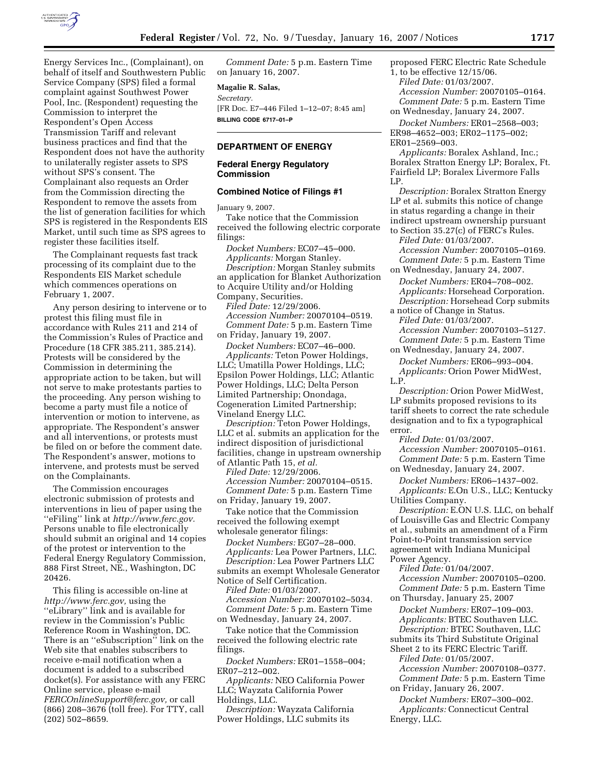

Energy Services Inc., (Complainant), on behalf of itself and Southwestern Public Service Company (SPS) filed a formal complaint against Southwest Power Pool, Inc. (Respondent) requesting the Commission to interpret the Respondent's Open Access Transmission Tariff and relevant business practices and find that the Respondent does not have the authority to unilaterally register assets to SPS without SPS's consent. The Complainant also requests an Order from the Commission directing the Respondent to remove the assets from the list of generation facilities for which SPS is registered in the Respondents EIS Market, until such time as SPS agrees to register these facilities itself.

The Complainant requests fast track processing of its complaint due to the Respondents EIS Market schedule which commences operations on February 1, 2007.

Any person desiring to intervene or to protest this filing must file in accordance with Rules 211 and 214 of the Commission's Rules of Practice and Procedure (18 CFR 385.211, 385.214). Protests will be considered by the Commission in determining the appropriate action to be taken, but will not serve to make protestants parties to the proceeding. Any person wishing to become a party must file a notice of intervention or motion to intervene, as appropriate. The Respondent's answer and all interventions, or protests must be filed on or before the comment date. The Respondent's answer, motions to intervene, and protests must be served on the Complainants.

The Commission encourages electronic submission of protests and interventions in lieu of paper using the ''eFiling'' link at *http://www.ferc.gov.*  Persons unable to file electronically should submit an original and 14 copies of the protest or intervention to the Federal Energy Regulatory Commission, 888 First Street, NE., Washington, DC 20426.

This filing is accessible on-line at *http://www.ferc.gov,* using the ''eLibrary'' link and is available for review in the Commission's Public Reference Room in Washington, DC. There is an ''eSubscription'' link on the Web site that enables subscribers to receive e-mail notification when a document is added to a subscribed docket(s). For assistance with any FERC Online service, please e-mail *FERCOnlineSupport@ferc.gov,* or call (866) 208–3676 (toll free). For TTY, call (202) 502–8659.

*Comment Date:* 5 p.m. Eastern Time on January 16, 2007.

### **Magalie R. Salas,**

*Secretary.*  [FR Doc. E7–446 Filed 1–12–07; 8:45 am] **BILLING CODE 6717–01–P** 

# **DEPARTMENT OF ENERGY**

## **Federal Energy Regulatory Commission**

## **Combined Notice of Filings #1**

January 9, 2007.

Take notice that the Commission received the following electric corporate filings:

*Docket Numbers:* EC07–45–000. *Applicants:* Morgan Stanley. *Description:* Morgan Stanley submits an application for Blanket Authorization to Acquire Utility and/or Holding Company, Securities.

*Filed Date:* 12/29/2006. *Accession Number:* 20070104–0519. *Comment Date:* 5 p.m. Eastern Time on Friday, January 19, 2007.

*Docket Numbers:* EC07–46–000.

*Applicants:* Teton Power Holdings, LLC; Umatilla Power Holdings, LLC; Epsilon Power Holdings, LLC; Atlantic Power Holdings, LLC; Delta Person Limited Partnership; Onondaga, Cogeneration Limited Partnership; Vineland Energy LLC.

*Description:* Teton Power Holdings, LLC et al. submits an application for the indirect disposition of jurisdictional facilities, change in upstream ownership of Atlantic Path 15, *et al.* 

*Filed Date:* 12/29/2006.

*Accession Number:* 20070104–0515. *Comment Date:* 5 p.m. Eastern Time on Friday, January 19, 2007.

Take notice that the Commission received the following exempt wholesale generator filings:

*Docket Numbers:* EG07–28–000. *Applicants:* Lea Power Partners, LLC. *Description:* Lea Power Partners LLC submits an exempt Wholesale Generator

Notice of Self Certification. *Filed Date:* 01/03/2007. *Accession Number:* 20070102–5034. *Comment Date:* 5 p.m. Eastern Time on Wednesday, January 24, 2007.

Take notice that the Commission received the following electric rate filings.

*Docket Numbers:* ER01–1558–004; ER07–212–002.

*Applicants:* NEO California Power LLC; Wayzata California Power Holdings, LLC.

*Description:* Wayzata California Power Holdings, LLC submits its

proposed FERC Electric Rate Schedule

1, to be effective 12/15/06.

*Filed Date:* 01/03/2007.

*Accession Number:* 20070105–0164. *Comment Date:* 5 p.m. Eastern Time on Wednesday, January 24, 2007.

*Docket Numbers:* ER01–2568–003; ER98–4652–003; ER02–1175–002; ER01–2569–003.

*Applicants:* Boralex Ashland, Inc.; Boralex Stratton Energy LP; Boralex, Ft. Fairfield LP; Boralex Livermore Falls LP.

*Description:* Boralex Stratton Energy LP et al. submits this notice of change in status regarding a change in their indirect upstream ownership pursuant to Section 35.27(c) of FERC's Rules.

*Filed Date:* 01/03/2007. *Accession Number:* 20070105–0169. *Comment Date:* 5 p.m. Eastern Time

on Wednesday, January 24, 2007. *Docket Numbers:* ER04–708–002. *Applicants:* Horsehead Corporation.

*Description:* Horsehead Corp submits a notice of Change in Status. *Filed Date:* 01/03/2007.

*Accession Number:* 20070103–5127. *Comment Date:* 5 p.m. Eastern Time on Wednesday, January 24, 2007.

*Docket Numbers:* ER06–993–004. *Applicants:* Orion Power MidWest, L.P.

*Description:* Orion Power MidWest, LP submits proposed revisions to its tariff sheets to correct the rate schedule designation and to fix a typographical error.

*Filed Date:* 01/03/2007.

*Accession Number:* 20070105–0161. *Comment Date:* 5 p.m. Eastern Time on Wednesday, January 24, 2007.

*Docket Numbers:* ER06–1437–002. *Applicants:* E.On U.S., LLC; Kentucky Utilities Company.

*Description:* E.ON U.S. LLC, on behalf of Louisville Gas and Electric Company et al., submits an amendment of a Firm Point-to-Point transmission service agreement with Indiana Municipal Power Agency.

*Filed Date:* 01/04/2007.

*Accession Number:* 20070105–0200. *Comment Date:* 5 p.m. Eastern Time on Thursday, January 25, 2007

*Docket Numbers:* ER07–109–003. *Applicants:* BTEC Southaven LLC. *Description:* BTEC Southaven, LLC submits its Third Substitute Original

Sheet 2 to its FERC Electric Tariff. *Filed Date:* 01/05/2007. *Accession Number:* 20070108–0377. *Comment Date:* 5 p.m. Eastern Time on Friday, January 26, 2007.

*Docket Numbers:* ER07–300–002. *Applicants:* Connecticut Central Energy, LLC.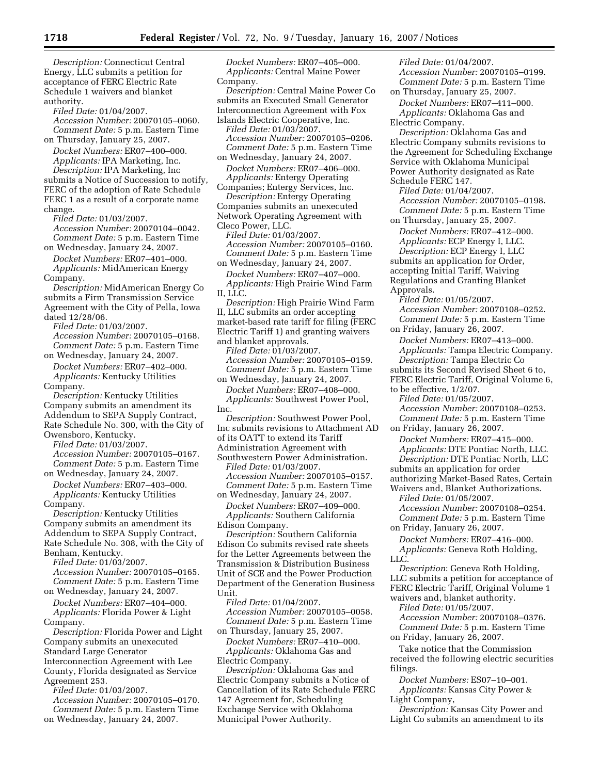*Description:* Connecticut Central Energy, LLC submits a petition for acceptance of FERC Electric Rate Schedule 1 waivers and blanket authority.

*Filed Date:* 01/04/2007. *Accession Number:* 20070105–0060.

*Comment Date:* 5 p.m. Eastern Time on Thursday, January 25, 2007.

*Docket Numbers:* ER07–400–000. *Applicants:* IPA Marketing, Inc. *Description:* IPA Marketing, Inc submits a Notice of Succession to notify,

FERC of the adoption of Rate Schedule FERC 1 as a result of a corporate name change.

*Filed Date:* 01/03/2007. *Accession Number:* 20070104–0042. *Comment Date:* 5 p.m. Eastern Time

on Wednesday, January 24, 2007. *Docket Numbers:* ER07–401–000. *Applicants:* MidAmerican Energy Company.

*Description:* MidAmerican Energy Co submits a Firm Transmission Service Agreement with the City of Pella, Iowa dated 12/28/06.

*Filed Date:* 01/03/2007. *Accession Number:* 20070105–0168. *Comment Date:* 5 p.m. Eastern Time on Wednesday, January 24, 2007.

*Docket Numbers:* ER07–402–000. *Applicants:* Kentucky Utilities Company.

*Description:* Kentucky Utilities Company submits an amendment its Addendum to SEPA Supply Contract, Rate Schedule No. 300, with the City of

Owensboro, Kentucky. *Filed Date:* 01/03/2007. *Accession Number:* 20070105–0167. *Comment Date:* 5 p.m. Eastern Time

on Wednesday, January 24, 2007. *Docket Numbers:* ER07–403–000. *Applicants:* Kentucky Utilities Company.

*Description:* Kentucky Utilities Company submits an amendment its Addendum to SEPA Supply Contract, Rate Schedule No. 308, with the City of Benham, Kentucky.

*Filed Date:* 01/03/2007.

*Accession Number:* 20070105–0165. *Comment Date:* 5 p.m. Eastern Time

on Wednesday, January 24, 2007.

*Docket Numbers:* ER07–404–000. *Applicants:* Florida Power & Light Company.

*Description:* Florida Power and Light Company submits an unexecuted Standard Large Generator Interconnection Agreement with Lee County, Florida designated as Service Agreement 253.

*Filed Date:* 01/03/2007. *Accession Number:* 20070105–0170. *Comment Date:* 5 p.m. Eastern Time on Wednesday, January 24, 2007.

*Docket Numbers:* ER07–405–000. *Applicants:* Central Maine Power Company.

*Description:* Central Maine Power Co submits an Executed Small Generator Interconnection Agreement with Fox Islands Electric Cooperative, Inc.

*Filed Date:* 01/03/2007. *Accession Number:* 20070105–0206. *Comment Date:* 5 p.m. Eastern Time on Wednesday, January 24, 2007.

*Docket Numbers:* ER07–406–000. *Applicants:* Entergy Operating

Companies; Entergy Services, Inc. *Description:* Entergy Operating

Companies submits an unexecuted Network Operating Agreement with Cleco Power, LLC.

*Filed Date:* 01/03/2007. *Accession Number:* 20070105–0160. *Comment Date:* 5 p.m. Eastern Time on Wednesday, January 24, 2007.

*Docket Numbers:* ER07–407–000. *Applicants:* High Prairie Wind Farm II, LLC.

*Description:* High Prairie Wind Farm II, LLC submits an order accepting market-based rate tariff for filing (FERC Electric Tariff 1) and granting waivers and blanket approvals.

*Filed Date:* 01/03/2007. *Accession Number:* 20070105–0159. *Comment Date:* 5 p.m. Eastern Time

on Wednesday, January 24, 2007. *Docket Numbers:* ER07–408–000. *Applicants:* Southwest Power Pool, Inc.

*Description:* Southwest Power Pool, Inc submits revisions to Attachment AD of its OATT to extend its Tariff Administration Agreement with

Southwestern Power Administration. *Filed Date:* 01/03/2007. *Accession Number:* 20070105–0157. *Comment Date:* 5 p.m. Eastern Time on Wednesday, January 24, 2007.

*Docket Numbers:* ER07–409–000. *Applicants:* Southern California

Edison Company.

*Description:* Southern California Edison Co submits revised rate sheets for the Letter Agreements between the Transmission & Distribution Business Unit of SCE and the Power Production Department of the Generation Business Unit.

*Filed Date:* 01/04/2007. *Accession Number:* 20070105–0058. *Comment Date:* 5 p.m. Eastern Time on Thursday, January 25, 2007.

*Docket Numbers:* ER07–410–000. *Applicants:* Oklahoma Gas and Electric Company.

*Description:* Oklahoma Gas and Electric Company submits a Notice of Cancellation of its Rate Schedule FERC 147 Agreement for, Scheduling Exchange Service with Oklahoma Municipal Power Authority.

*Filed Date:* 01/04/2007. *Accession Number:* 20070105–0199.

*Comment Date:* 5 p.m. Eastern Time on Thursday, January 25, 2007.

*Docket Numbers:* ER07–411–000. *Applicants:* Oklahoma Gas and Electric Company.

*Description:* Oklahoma Gas and Electric Company submits revisions to the Agreement for Scheduling Exchange Service with Oklahoma Municipal Power Authority designated as Rate Schedule FERC 147.

*Filed Date:* 01/04/2007. *Accession Number:* 20070105–0198. *Comment Date:* 5 p.m. Eastern Time on Thursday, January 25, 2007.

*Docket Numbers:* ER07–412–000. *Applicants:* ECP Energy I, LLC. *Description:* ECP Energy I, LLC submits an application for Order, accepting Initial Tariff, Waiving Regulations and Granting Blanket Approvals.

*Filed Date:* 01/05/2007. *Accession Number:* 20070108–0252. *Comment Date:* 5 p.m. Eastern Time

on Friday, January 26, 2007. *Docket Numbers:* ER07–413–000. *Applicants:* Tampa Electric Company. *Description:* Tampa Electric Co submits its Second Revised Sheet 6 to,

FERC Electric Tariff, Original Volume 6, to be effective, 1/2/07.

*Filed Date:* 01/05/2007. *Accession Number:* 20070108–0253. *Comment Date:* 5 p.m. Eastern Time

on Friday, January 26, 2007.

*Docket Numbers:* ER07–415–000. *Applicants:* DTE Pontiac North, LLC.

*Description:* DTE Pontiac North, LLC submits an application for order

authorizing Market-Based Rates, Certain

Waivers and, Blanket Authorizations. *Filed Date:* 01/05/2007. *Accession Number:* 20070108–0254.

*Comment Date:* 5 p.m. Eastern Time on Friday, January 26, 2007.

*Docket Numbers:* ER07–416–000. *Applicants:* Geneva Roth Holding, LLC.

*Description*: Geneva Roth Holding, LLC submits a petition for acceptance of FERC Electric Tariff, Original Volume 1

waivers and, blanket authority. *Filed Date:* 01/05/2007.

*Accession Number:* 20070108–0376. *Comment Date:* 5 p.m. Eastern Time on Friday, January 26, 2007.

Take notice that the Commission received the following electric securities filings.

*Docket Numbers:* ES07–10–001. *Applicants:* Kansas City Power & Light Company,

*Description:* Kansas City Power and Light Co submits an amendment to its